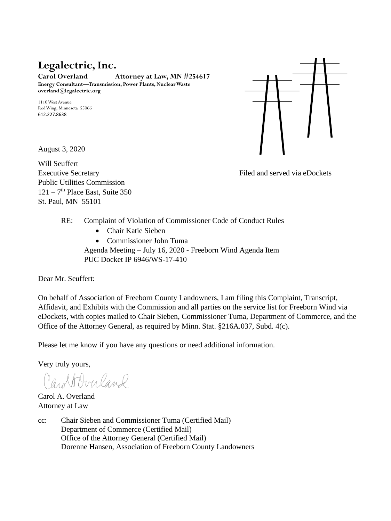# **Legalectric, Inc.**

**Carol Overland Attorney at Law, MN #254617 Energy Consultant—Transmission, Power Plants, Nuclear Waste overland@legalectric.org**

1110 West Avenue Red Wing, Minnesota 55066 612.227.8638



Will Seuffert Executive Secretary **Filed and served via eDockets** Public Utilities Commission  $121 - 7$ <sup>th</sup> Place East, Suite 350 St. Paul, MN 55101

- RE: Complaint of Violation of Commissioner Code of Conduct Rules
	- Chair Katie Sieben
	- Commissioner John Tuma

Agenda Meeting – July 16, 2020 - Freeborn Wind Agenda Item PUC Docket IP 6946/WS-17-410

Dear Mr. Seuffert:

On behalf of Association of Freeborn County Landowners, I am filing this Complaint, Transcript, Affidavit, and Exhibits with the Commission and all parties on the service list for Freeborn Wind via eDockets, with copies mailed to Chair Sieben, Commissioner Tuma, Department of Commerce, and the Office of the Attorney General, as required by Minn. Stat. §216A.037, Subd. 4(c).

Please let me know if you have any questions or need additional information.

Very truly yours,

CaroltOverland

Carol A. Overland Attorney at Law

cc: Chair Sieben and Commissioner Tuma (Certified Mail) Department of Commerce (Certified Mail) Office of the Attorney General (Certified Mail) Dorenne Hansen, Association of Freeborn County Landowners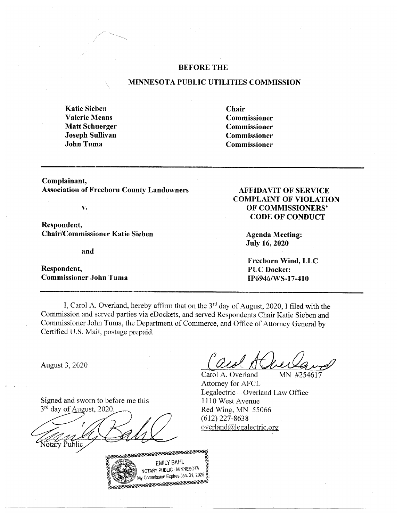### **BEFORE THE**

#### MINNESOTA PUBLIC UTILITIES COMMISSION

**Katie Sieben Valerie Means Matt Schuerger Joseph Sullivan John Tuma** 

Chair Commissioner **Commissioner Commissioner** Commissioner

Complainant, **Association of Freeborn County Landowners** 

 $\overline{\mathbf{v}}$ .

Respondent, **Chair/Commissioner Katie Sieben** 

and

Respondent, **Commissioner John Tuma** 

# **AFFIDAVIT OF SERVICE COMPLAINT OF VIOLATION** OF COMMISSIONERS' **CODE OF CONDUCT**

**Agenda Meeting: July 16, 2020** 

Freeborn Wind, LLC **PUC Docket:** IP6946/WS-17-410

I, Carol A. Overland, hereby affirm that on the 3<sup>rd</sup> day of August, 2020, I filed with the Commission and served parties via eDockets, and served Respondents Chair Katie Sieben and Commissioner John Tuma, the Department of Commerce, and Office of Attorney General by Certified U.S. Mail, postage prepaid.

August 3, 2020

Signed and sworn to before me this 3<sup>rd</sup> day of August, 2020

otary Public



Carol A. Overland MN #254617 Attorney for AFCL Legalectric – Overland Law Office 1110 West Avenue Red Wing, MN 55066  $(612)$  227-8638  $overland@$ legalectric.org